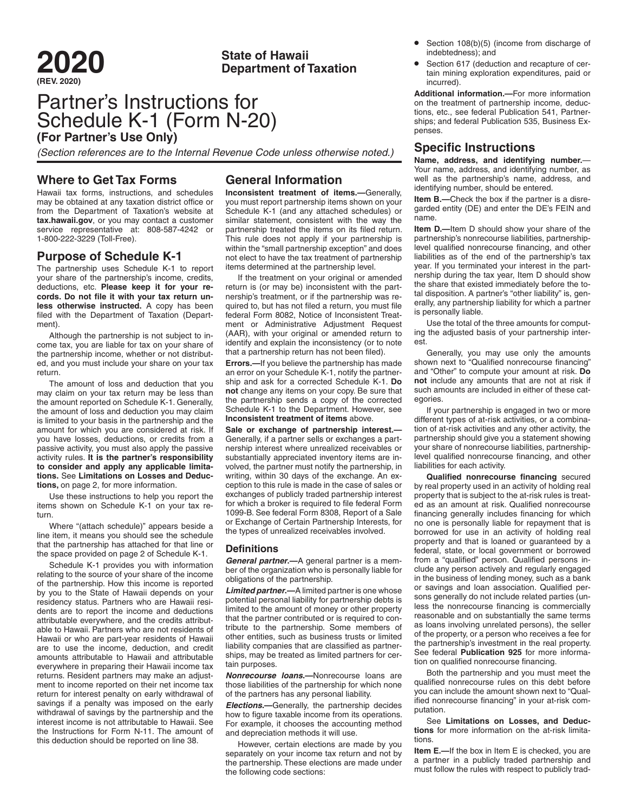# **(REV. 2020)**

# **2020 State of Hawaii Department of Taxation**

# Partner's Instructions for Schedule K-1 (Form N-20) **(For Partner's Use Only)**

*(Section references are to the Internal Revenue Code unless otherwise noted.)*

# **Where to Get Tax Forms**

Hawaii tax forms, instructions, and schedules may be obtained at any taxation district office or from the Department of Taxation's website at **tax.hawaii.gov**, or you may contact a customer service representative at: 808-587-4242 or 1-800-222-3229 (Toll-Free).

# **Purpose of Schedule K-1**

The partnership uses Schedule K-1 to report your share of the partnership's income, credits, deductions, etc. **Please keep it for your records. Do not file it with your tax return unless otherwise instructed.** A copy has been filed with the Department of Taxation (Department).

Although the partnership is not subject to income tax, you are liable for tax on your share of the partnership income, whether or not distributed, and you must include your share on your tax return.

The amount of loss and deduction that you may claim on your tax return may be less than the amount reported on Schedule K-1. Generally, the amount of loss and deduction you may claim is limited to your basis in the partnership and the amount for which you are considered at risk. If you have losses, deductions, or credits from a passive activity, you must also apply the passive activity rules. **It is the partner's responsibility to consider and apply any applicable limitations.** See **Limitations on Losses and Deductions,** on page 2, for more information.

Use these instructions to help you report the items shown on Schedule K-1 on your tax return.

Where "(attach schedule)" appears beside a line item, it means you should see the schedule that the partnership has attached for that line or the space provided on page 2 of Schedule K-1.

Schedule K-1 provides you with information relating to the source of your share of the income of the partnership. How this income is reported by you to the State of Hawaii depends on your residency status. Partners who are Hawaii residents are to report the income and deductions attributable everywhere, and the credits attributable to Hawaii. Partners who are not residents of Hawaii or who are part-year residents of Hawaii are to use the income, deduction, and credit amounts attributable to Hawaii and attributable everywhere in preparing their Hawaii income tax returns. Resident partners may make an adjustment to income reported on their net income tax return for interest penalty on early withdrawal of savings if a penalty was imposed on the early withdrawal of savings by the partnership and the interest income is not attributable to Hawaii. See the Instructions for Form N-11. The amount of this deduction should be reported on line 38.

# **General Information**

**Inconsistent treatment of items.—**Generally, you must report partnership items shown on your Schedule K-1 (and any attached schedules) or similar statement, consistent with the way the partnership treated the items on its filed return. This rule does not apply if your partnership is within the "small partnership exception" and does not elect to have the tax treatment of partnership items determined at the partnership level.

If the treatment on your original or amended return is (or may be) inconsistent with the partnership's treatment, or if the partnership was required to, but has not filed a return, you must file federal Form 8082, Notice of Inconsistent Treatment or Administrative Adjustment Request (AAR), with your original or amended return to identify and explain the inconsistency (or to note that a partnership return has not been filed).

**Errors.—**If you believe the partnership has made an error on your Schedule K-1, notify the partnership and ask for a corrected Schedule K-1. **Do not** change any items on your copy. Be sure that the partnership sends a copy of the corrected Schedule K-1 to the Department. However, see **Inconsistent treatment of items** above.

**Sale or exchange of partnership interest.—** Generally, if a partner sells or exchanges a partnership interest where unrealized receivables or substantially appreciated inventory items are involved, the partner must notify the partnership, in writing, within 30 days of the exchange. An exception to this rule is made in the case of sales or exchanges of publicly traded partnership interest for which a broker is required to file federal Form 1099-B. See federal Form 8308, Report of a Sale or Exchange of Certain Partnership Interests, for the types of unrealized receivables involved.

#### **Definitions**

*General partner***.—**A general partner is a member of the organization who is personally liable for obligations of the partnership.

*Limited partner***.—**A limited partner is one whose potential personal liability for partnership debts is limited to the amount of money or other property that the partner contributed or is required to contribute to the partnership. Some members of other entities, such as business trusts or limited liability companies that are classified as partnerships, may be treated as limited partners for certain purposes.

*Nonrecourse loans***.—**Nonrecourse loans are those liabilities of the partnership for which none of the partners has any personal liability.

*Elections***.—**Generally, the partnership decides how to figure taxable income from its operations. For example, it chooses the accounting method and depreciation methods it will use.

However, certain elections are made by you separately on your income tax return and not by the partnership. These elections are made under the following code sections:

- Section 108(b)(5) (income from discharge of indebtedness); and
- Section 617 (deduction and recapture of certain mining exploration expenditures, paid or incurred).

**Additional information.—**For more information on the treatment of partnership income, deductions, etc., see federal Publication 541, Partnerships; and federal Publication 535, Business Expenses.

### **Specific Instructions**

**Name, address, and identifying number.**— Your name, address, and identifying number, as well as the partnership's name, address, and identifying number, should be entered.

**Item B.—**Check the box if the partner is a disregarded entity (DE) and enter the DE's FEIN and name.

**Item D.—**Item D should show your share of the partnership's nonrecourse liabilities, partnershiplevel qualified nonrecourse financing, and other liabilities as of the end of the partnership's tax year. If you terminated your interest in the partnership during the tax year, Item D should show the share that existed immediately before the total disposition. A partner's "other liability" is, generally, any partnership liability for which a partner is personally liable.

Use the total of the three amounts for computing the adjusted basis of your partnership interest.

Generally, you may use only the amounts shown next to "Qualified nonrecourse financing" and "Other" to compute your amount at risk. **Do not** include any amounts that are not at risk if such amounts are included in either of these categories.

If your partnership is engaged in two or more different types of at-risk activities, or a combination of at-risk activities and any other activity, the partnership should give you a statement showing your share of nonrecourse liabilities, partnershiplevel qualified nonrecourse financing, and other liabilities for each activity.

**Qualified nonrecourse financing** secured by real property used in an activity of holding real property that is subject to the at-risk rules is treated as an amount at risk. Qualified nonrecourse financing generally includes financing for which no one is personally liable for repayment that is borrowed for use in an activity of holding real property and that is loaned or guaranteed by a federal, state, or local government or borrowed from a "qualified" person. Qualified persons include any person actively and regularly engaged in the business of lending money, such as a bank or savings and loan association. Qualified persons generally do not include related parties (unless the nonrecourse financing is commercially reasonable and on substantially the same terms as loans involving unrelated persons), the seller of the property, or a person who receives a fee for the partnership's investment in the real property. See federal **Publication 925** for more information on qualified nonrecourse financing.

Both the partnership and you must meet the qualified nonrecourse rules on this debt before you can include the amount shown next to "Qualified nonrecourse financing" in your at-risk computation.

See **Limitations on Losses, and Deductions** for more information on the at-risk limitations.

**Item E.—If the box in Item E is checked, you are** a partner in a publicly traded partnership and must follow the rules with respect to publicly trad-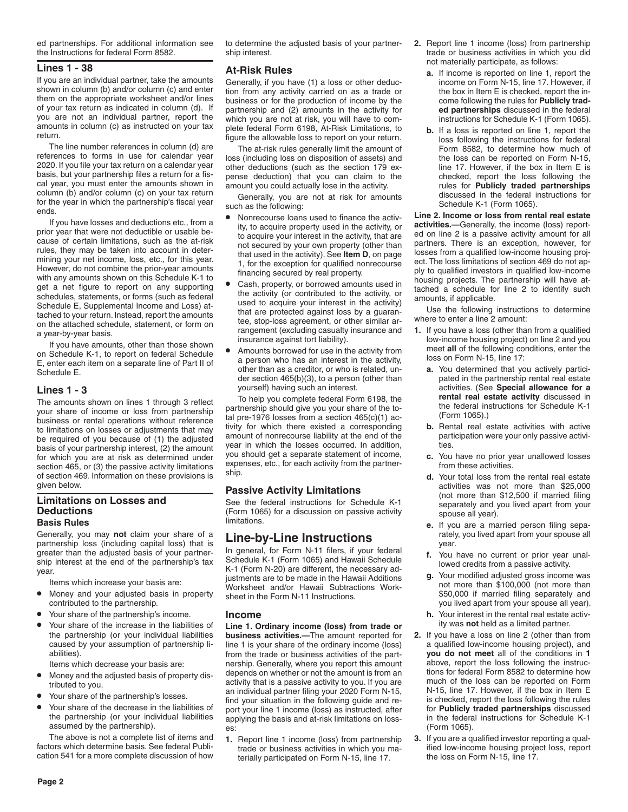ed partnerships. For additional information see the Instructions for federal Form 8582.

#### **Lines 1 - 38**

If you are an individual partner, take the amounts shown in column (b) and/or column (c) and enter them on the appropriate worksheet and/or lines of your tax return as indicated in column (d). If you are not an individual partner, report the amounts in column (c) as instructed on your tax return.

The line number references in column (d) are references to forms in use for calendar year 2020. If you file your tax return on a calendar year basis, but your partnership files a return for a fiscal year, you must enter the amounts shown in column (b) and/or column (c) on your tax return for the year in which the partnership's fiscal year ends.

If you have losses and deductions etc., from a prior year that were not deductible or usable because of certain limitations, such as the at-risk rules, they may be taken into account in determining your net income, loss, etc., for this year. However, do not combine the prior-year amounts with any amounts shown on this Schedule K-1 to get a net figure to report on any supporting schedules, statements, or forms (such as federal Schedule E, Supplemental Income and Loss) attached to your return. Instead, report the amounts on the attached schedule, statement, or form on a year-by-year basis.

If you have amounts, other than those shown on Schedule K-1, to report on federal Schedule E, enter each item on a separate line of Part II of Schedule E.

#### **Lines 1 - 3**

The amounts shown on lines 1 through 3 reflect your share of income or loss from partnership business or rental operations without reference to limitations on losses or adjustments that may be required of you because of (1) the adjusted basis of your partnership interest, (2) the amount for which you are at risk as determined under section 465, or (3) the passive activity limitations of section 469. Information on these provisions is given below.

#### **Limitations on Losses and Deductions Basis Rules**

Generally, you may **not** claim your share of a partnership loss (including capital loss) that is greater than the adjusted basis of your partnership interest at the end of the partnership's tax year.

Items which increase your basis are:

- Money and your adjusted basis in property contributed to the partnership.
- Your share of the partnership's income.
- Your share of the increase in the liabilities of the partnership (or your individual liabilities caused by your assumption of partnership liabilities).

Items which decrease your basis are:

- Money and the adjusted basis of property distributed to you.
- Your share of the partnership's losses.
- Your share of the decrease in the liabilities of the partnership (or your individual liabilities assumed by the partnership).

The above is not a complete list of items and factors which determine basis. See federal Publication 541 for a more complete discussion of how

to determine the adjusted basis of your partnership interest.

#### **At-Risk Rules**

Generally, if you have (1) a loss or other deduction from any activity carried on as a trade or business or for the production of income by the partnership and (2) amounts in the activity for which you are not at risk, you will have to complete federal Form 6198, At-Risk Limitations, to figure the allowable loss to report on your return.

The at-risk rules generally limit the amount of loss (including loss on disposition of assets) and other deductions (such as the section 179 expense deduction) that you can claim to the amount you could actually lose in the activity.

Generally, you are not at risk for amounts such as the following:

- Nonrecourse loans used to finance the activity, to acquire property used in the activity, or to acquire your interest in the activity, that are not secured by your own property (other than that used in the activity). See **Item D**, on page 1, for the exception for qualified nonrecourse financing secured by real property.
- Cash, property, or borrowed amounts used in the activity (or contributed to the activity, or used to acquire your interest in the activity) that are protected against loss by a guarantee, stop-loss agreement, or other similar arrangement (excluding casualty insurance and insurance against tort liability).
- Amounts borrowed for use in the activity from a person who has an interest in the activity, other than as a creditor, or who is related, under section 465(b)(3), to a person (other than yourself) having such an interest.

To help you complete federal Form 6198, the partnership should give you your share of the total pre-1976 losses from a section 465(c)(1) activity for which there existed a corresponding amount of nonrecourse liability at the end of the year in which the losses occurred. In addition, you should get a separate statement of income, expenses, etc., for each activity from the partnership.

#### **Passive Activity Limitations**

See the federal instructions for Schedule K-1 (Form 1065) for a discussion on passive activity limitations.

# **Line-by-Line Instructions**

In general, for Form N-11 filers, if your federal Schedule K-1 (Form 1065) and Hawaii Schedule K-1 (Form N-20) are different, the necessary adjustments are to be made in the Hawaii Additions Worksheet and/or Hawaii Subtractions Worksheet in the Form N-11 Instructions.

#### **Income**

**Line 1. Ordinary income (loss) from trade or business activities.—**The amount reported for line 1 is your share of the ordinary income (loss) from the trade or business activities of the partnership. Generally, where you report this amount depends on whether or not the amount is from an activity that is a passive activity to you. If you are an individual partner filing your 2020 Form N-15, find your situation in the following guide and report your line 1 income (loss) as instructed, after applying the basis and at-risk limitations on losses:

**1.** Report line 1 income (loss) from partnership trade or business activities in which you materially participated on Form N-15, line 17.

- **2.** Report line 1 income (loss) from partnership trade or business activities in which you did not materially participate, as follows:
	- **a.** If income is reported on line 1, report the income on Form N-15, line 17. However, if the box in Item E is checked, report the income following the rules for **Publicly traded partnerships** discussed in the federal instructions for Schedule K-1 (Form 1065).
	- **b.** If a loss is reported on line 1, report the loss following the instructions for federal Form 8582, to determine how much of the loss can be reported on Form N-15, line 17. However, if the box in Item E is checked, report the loss following the rules for **Publicly traded partnerships**  discussed in the federal instructions for Schedule K-1 (Form 1065).

**Line 2. Income or loss from rental real estate activities.—**Generally, the income (loss) reported on line 2 is a passive activity amount for all partners. There is an exception, however, for losses from a qualified low-income housing project. The loss limitations of section 469 do not apply to qualified investors in qualified low-income housing projects. The partnership will have attached a schedule for line 2 to identify such amounts, if applicable.

Use the following instructions to determine where to enter a line 2 amount:

- **1.** If you have a loss (other than from a qualified low-income housing project) on line 2 and you meet **all** of the following conditions, enter the loss on Form N-15, line 17:
	- **a.** You determined that you actively participated in the partnership rental real estate activities. (See **Special allowance for a rental real estate activity** discussed in the federal instructions for Schedule K-1 (Form 1065).)
	- **b.** Rental real estate activities with active participation were your only passive activities.
	- **c.** You have no prior year unallowed losses from these activities.
	- **d.** Your total loss from the rental real estate activities was not more than \$25,000 (not more than \$12,500 if married filing separately and you lived apart from your spouse all year).
	- **e.** If you are a married person filing separately, you lived apart from your spouse all year.
	- **f.** You have no current or prior year unallowed credits from a passive activity.
	- **g.** Your modified adjusted gross income was not more than \$100,000 (not more than \$50,000 if married filing separately and you lived apart from your spouse all year).
	- **h.** Your interest in the rental real estate activity was **not** held as a limited partner.
- **2.** If you have a loss on line 2 (other than from a qualified low-income housing project), and **you do not meet** all of the conditions in **1** above, report the loss following the instructions for federal Form 8582 to determine how much of the loss can be reported on Form N-15, line 17. However, if the box in Item E is checked, report the loss following the rules for **Publicly traded partnerships** discussed in the federal instructions for Schedule K-1 (Form 1065).
- **3.** If you are a qualified investor reporting a qualified low-income housing project loss, report the loss on Form N-15, line 17.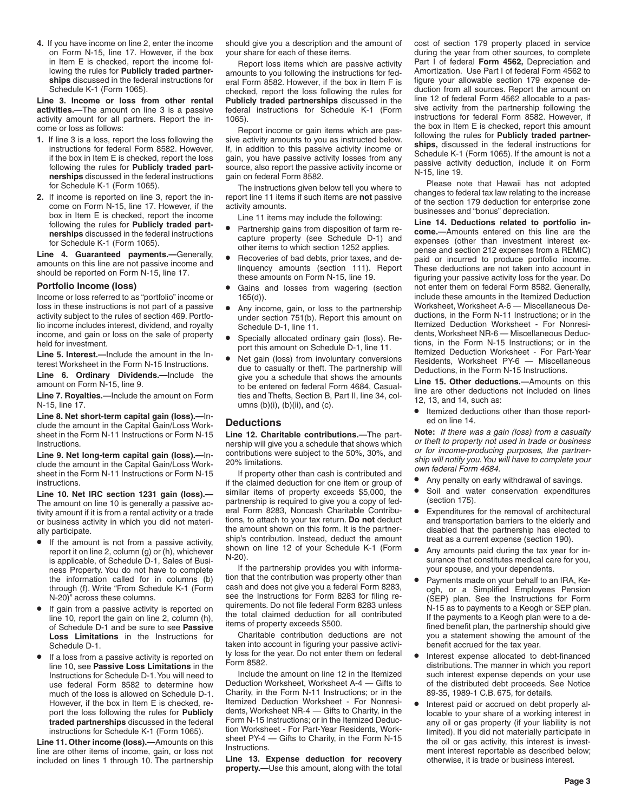**4.** If you have income on line 2, enter the income on Form N-15, line 17. However, if the box in Item E is checked, report the income following the rules for **Publicly traded partnerships** discussed in the federal instructions for Schedule K-1 (Form 1065).

**Line 3. Income or loss from other rental activities.—**The amount on line 3 is a passive activity amount for all partners. Report the income or loss as follows:

- **1.** If line 3 is a loss, report the loss following the instructions for federal Form 8582. However, if the box in Item E is checked, report the loss following the rules for **Publicly traded partnerships** discussed in the federal instructions for Schedule K-1 (Form 1065).
- **2.** If income is reported on line 3, report the income on Form N-15, line 17. However, if the box in Item E is checked, report the income following the rules for **Publicly traded partnerships** discussed in the federal instructions for Schedule K-1 (Form 1065).

**Line 4. Guaranteed payments.—**Generally, amounts on this line are not passive income and should be reported on Form N-15, line 17.

#### **Portfolio Income (loss)**

Income or loss referred to as "portfolio" income or loss in these instructions is not part of a passive activity subject to the rules of section 469. Portfolio income includes interest, dividend, and royalty income, and gain or loss on the sale of property held for investment.

**Line 5. Interest.—**Include the amount in the Interest Worksheet in the Form N-15 Instructions.

**Line 6. Ordinary Dividends.—**Include the amount on Form N-15, line 9.

**Line 7. Royalties.—**Include the amount on Form N-15, line 17.

**Line 8. Net short-term capital gain (loss).—**Include the amount in the Capital Gain/Loss Worksheet in the Form N-11 Instructions or Form N-15 Instructions.

**Line 9. Net long-term capital gain (loss).—**Include the amount in the Capital Gain/Loss Worksheet in the Form N-11 Instructions or Form N-15 instructions.

**Line 10. Net IRC section 1231 gain (loss).—** The amount on line 10 is generally a passive activity amount if it is from a rental activity or a trade or business activity in which you did not materially participate.

- If the amount is not from a passive activity, report it on line 2, column (g) or (h), whichever is applicable, of Schedule D-1, Sales of Business Property. You do not have to complete the information called for in columns (b) through (f). Write "From Schedule K-1 (Form N-20)" across these columns.
- If gain from a passive activity is reported on line 10, report the gain on line 2, column (h), of Schedule D-1 and be sure to see **Passive Loss Limitations** in the Instructions for Schedule D-1.
- If a loss from a passive activity is reported on line 10, see **Passive Loss Limitations** in the Instructions for Schedule D-1. You will need to use federal Form 8582 to determine how much of the loss is allowed on Schedule D-1. However, if the box in Item E is checked, report the loss following the rules for **Publicly traded partnerships** discussed in the federal instructions for Schedule K-1 (Form 1065).

**Line 11. Other income (loss).—**Amounts on this line are other items of income, gain, or loss not included on lines 1 through 10. The partnership should give you a description and the amount of your share for each of these items.

Report loss items which are passive activity amounts to you following the instructions for federal Form 8582. However, if the box in Item F is checked, report the loss following the rules for **Publicly traded partnerships** discussed in the federal instructions for Schedule K-1 (Form 1065).

Report income or gain items which are passive activity amounts to you as instructed below. If, in addition to this passive activity income or gain, you have passive activity losses from any source, also report the passive activity income or gain on federal Form 8582.

The instructions given below tell you where to report line 11 items if such items are **not** passive activity amounts.

Line 11 items may include the following:

- Partnership gains from disposition of farm recapture property (see Schedule D-1) and other items to which section 1252 applies.
- Recoveries of bad debts, prior taxes, and delinquency amounts (section 111). Report these amounts on Form N-15, line 19.
- Gains and losses from wagering (section 165(d)).
- Any income, gain, or loss to the partnership under section 751(b). Report this amount on Schedule D-1, line 11.
- Specially allocated ordinary gain (loss). Report this amount on Schedule D-1, line 11.
- Net gain (loss) from involuntary conversions due to casualty or theft. The partnership will give you a schedule that shows the amounts to be entered on federal Form 4684, Casualties and Thefts, Section B, Part II, line 34, columns  $(b)(i)$ ,  $(b)(ii)$ , and  $(c)$ .

#### **Deductions**

**Line 12. Charitable contributions.—**The partnership will give you a schedule that shows which contributions were subject to the 50%, 30%, and 20% limitations.

If property other than cash is contributed and if the claimed deduction for one item or group of similar items of property exceeds \$5,000, the partnership is required to give you a copy of federal Form 8283, Noncash Charitable Contributions, to attach to your tax return. **Do not** deduct the amount shown on this form. It is the partnership's contribution. Instead, deduct the amount shown on line 12 of your Schedule K-1 (Form N-20).

If the partnership provides you with information that the contribution was property other than cash and does not give you a federal Form 8283, see the Instructions for Form 8283 for filing requirements. Do not file federal Form 8283 unless the total claimed deduction for all contributed items of property exceeds \$500.

Charitable contribution deductions are not taken into account in figuring your passive activity loss for the year. Do not enter them on federal Form 8582.

Include the amount on line 12 in the Itemized Deduction Worksheet, Worksheet A-4 — Gifts to Charity, in the Form N-11 Instructions; or in the Itemized Deduction Worksheet - For Nonresidents, Worksheet NR-4 — Gifts to Charity, in the Form N-15 Instructions; or in the Itemized Deduction Worksheet - For Part-Year Residents, Worksheet PY-4 - Gifts to Charity, in the Form N-15 Instructions.

**Line 13. Expense deduction for recovery property.—**Use this amount, along with the total cost of section 179 property placed in service during the year from other sources, to complete Part I of federal **Form 4562,** Depreciation and Amortization. Use Part I of federal Form 4562 to figure your allowable section 179 expense deduction from all sources. Report the amount on line 12 of federal Form 4562 allocable to a passive activity from the partnership following the instructions for federal Form 8582. However, if the box in Item E is checked, report this amount following the rules for **Publicly traded partnerships,** discussed in the federal instructions for Schedule K-1 (Form 1065). If the amount is not a passive activity deduction, include it on Form N-15, line 19.

Please note that Hawaii has not adopted changes to federal tax law relating to the increase of the section 179 deduction for enterprise zone businesses and "bonus" depreciation.

**Line 14. Deductions related to portfolio income.—**Amounts entered on this line are the expenses (other than investment interest expense and section 212 expenses from a REMIC) paid or incurred to produce portfolio income. These deductions are not taken into account in figuring your passive activity loss for the year. Do not enter them on federal Form 8582. Generally, include these amounts in the Itemized Deduction Worksheet, Worksheet A-6 — Miscellaneous Deductions, in the Form N-11 Instructions; or in the Itemized Deduction Worksheet - For Nonresidents, Worksheet NR-6 — Miscellaneous Deductions, in the Form N-15 Instructions; or in the Itemized Deduction Worksheet - For Part-Year Residents, Worksheet PY-6 — Miscellaneous Deductions, in the Form N-15 Instructions.

**Line 15. Other deductions.—**Amounts on this line are other deductions not included on lines 12, 13, and 14, such as:

• Itemized deductions other than those reported on line 14.

**Note:** *If there was a gain (loss) from a casualty or theft to property not used in trade or business or for income-producing purposes, the partnership will notify you. You will have to complete your own federal Form 4684.*

- Any penalty on early withdrawal of savings.
- Soil and water conservation expenditures (section 175).
- Expenditures for the removal of architectural and transportation barriers to the elderly and disabled that the partnership has elected to treat as a current expense (section 190).
- Any amounts paid during the tax year for insurance that constitutes medical care for you, your spouse, and your dependents.
- Payments made on your behalf to an IRA, Keogh, or a Simplified Employees Pension (SEP) plan. See the Instructions for Form N-15 as to payments to a Keogh or SEP plan. If the payments to a Keogh plan were to a defined benefit plan, the partnership should give you a statement showing the amount of the benefit accrued for the tax year.
- Interest expense allocated to debt-financed distributions. The manner in which you report such interest expense depends on your use of the distributed debt proceeds. See Notice 89-35, 1989-1 C.B. 675, for details.
- Interest paid or accrued on debt properly allocable to your share of a working interest in any oil or gas property (if your liability is not limited). If you did not materially participate in the oil or gas activity, this interest is investment interest reportable as described below; otherwise, it is trade or business interest.